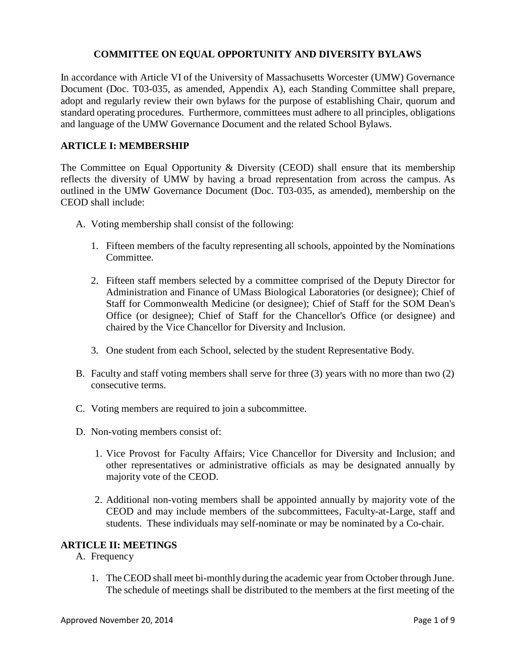## **COMMITTEE ON EQUAL OPPORTUNITY AND DIVERSITY BYLAWS**

In accordance with Article VI of the University of Massachusetts Worcester (UMW) Governance Document (Doc. T03-035, as amended, Appendix A), each Standing Committee shall prepare, adopt and regularly review their own bylaws for the purpose of establishing Chair, quorum and standard operating procedures. Furthermore, committees must adhere to all principles, obligations and language of the UMW Governance Document and the related School Bylaws.

### **ARTICLE I: MEMBERSHIP**

The Committee on Equal Opportunity & Diversity (CEOD) shall ensure that its membership reflects the diversity of UMW by having a broad representation from across the campus. As outlined in the UMW Governance Document (Doc. T03-035, as amended), membership on the CEOD shall include:

- A. Voting membership shall consist of the following:
	- 1. Fifteen members of the faculty representing all schools, appointed by the Nominations Committee.
	- 2. Fifteen staff members selected by a committee comprised of the Deputy Director for Administration and Finance of UMass Biological Laboratories (or designee); Chief of Staff for Commonwealth Medicine (or designee); Chief of Staff for the SOM Dean's Office (or designee); Chief of Staff for the Chancellor's Office (or designee) and chaired by the Vice Chancellor for Diversity and Inclusion.
	- 3. One student from each School, selected by the student Representative Body.
- B. Faculty and staff voting members shall serve for three (3) years with no more than two (2) consecutive terms.
- C. Voting members are required to join a subcommittee.
- D. Non-voting members consist of:
	- 1. Vice Provost for Faculty Affairs; Vice Chancellor for Diversity and Inclusion; and other representatives or administrative officials as may be designated annually by majority vote of the CEOD.
	- 2. Additional non-voting members shall be appointed annually by majority vote of the CEOD and may include members of the subcommittees, Faculty-at-Large, staff and students. These individuals may self-nominate or may be nominated by a Co-chair.

#### **ARTICLE II: MEETINGS**

- A. Frequency
	- 1. The CEOD shall meet bi-monthly during the academic year from October through June. The schedule of meetings shall be distributed to the members at the first meeting of the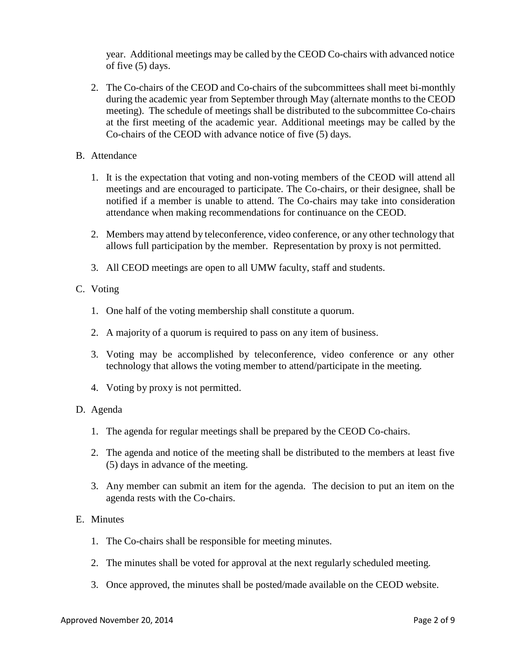year. Additional meetings may be called by the CEOD Co-chairs with advanced notice of five (5) days.

- 2. The Co-chairs of the CEOD and Co-chairs of the subcommittees shall meet bi-monthly during the academic year from September through May (alternate months to the CEOD meeting). The schedule of meetings shall be distributed to the subcommittee Co-chairs at the first meeting of the academic year. Additional meetings may be called by the Co-chairs of the CEOD with advance notice of five (5) days.
- B. Attendance
	- 1. It is the expectation that voting and non-voting members of the CEOD will attend all meetings and are encouraged to participate. The Co-chairs, or their designee, shall be notified if a member is unable to attend. The Co-chairs may take into consideration attendance when making recommendations for continuance on the CEOD.
	- 2. Members may attend by teleconference, video conference, or any other technology that allows full participation by the member. Representation by proxy is not permitted.
	- 3. All CEOD meetings are open to all UMW faculty, staff and students.

#### C. Voting

- 1. One half of the voting membership shall constitute a quorum.
- 2. A majority of a quorum is required to pass on any item of business.
- 3. Voting may be accomplished by teleconference, video conference or any other technology that allows the voting member to attend/participate in the meeting.
- 4. Voting by proxy is not permitted.

#### D. Agenda

- 1. The agenda for regular meetings shall be prepared by the CEOD Co-chairs.
- 2. The agenda and notice of the meeting shall be distributed to the members at least five (5) days in advance of the meeting.
- 3. Any member can submit an item for the agenda. The decision to put an item on the agenda rests with the Co-chairs.

#### E. Minutes

- 1. The Co-chairs shall be responsible for meeting minutes.
- 2. The minutes shall be voted for approval at the next regularly scheduled meeting.
- 3. Once approved, the minutes shall be posted/made available on the CEOD website.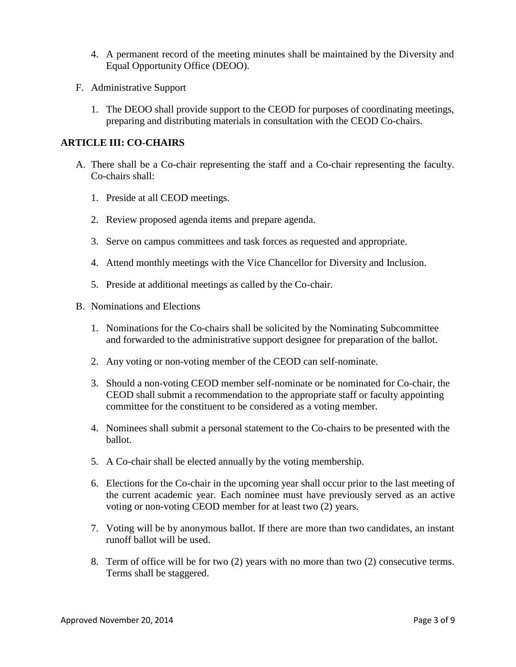- 4. A permanent record of the meeting minutes shall be maintained by the Diversity and Equal Opportunity Office (DEOO).
- F. Administrative Support
	- 1. The DEOO shall provide support to the CEOD for purposes of coordinating meetings, preparing and distributing materials in consultation with the CEOD Co-chairs.

### **ARTICLE III: CO-CHAIRS**

- A. There shall be a Co-chair representing the staff and a Co-chair representing the faculty. Co-chairs shall:
	- 1. Preside at all CEOD meetings.
	- 2. Review proposed agenda items and prepare agenda.
	- 3. Serve on campus committees and task forces as requested and appropriate.
	- 4. Attend monthly meetings with the Vice Chancellor for Diversity and Inclusion.
	- 5. Preside at additional meetings as called by the Co-chair.
- B. Nominations and Elections
	- 1. Nominations for the Co-chairs shall be solicited by the Nominating Subcommittee and forwarded to the administrative support designee for preparation of the ballot.
	- 2. Any voting or non-voting member of the CEOD can self-nominate.
	- 3. Should a non-voting CEOD member self-nominate or be nominated for Co-chair, the CEOD shall submit a recommendation to the appropriate staff or faculty appointing committee for the constituent to be considered as a voting member.
	- 4. Nominees shall submit a personal statement to the Co-chairs to be presented with the ballot.
	- 5. A Co-chair shall be elected annually by the voting membership.
	- 6. Elections for the Co-chair in the upcoming year shall occur prior to the last meeting of the current academic year. Each nominee must have previously served as an active voting or non-voting CEOD member for at least two (2) years.
	- 7. Voting will be by anonymous ballot. If there are more than two candidates, an instant runoff ballot will be used.
	- 8. Term of office will be for two (2) years with no more than two (2) consecutive terms. Terms shall be staggered.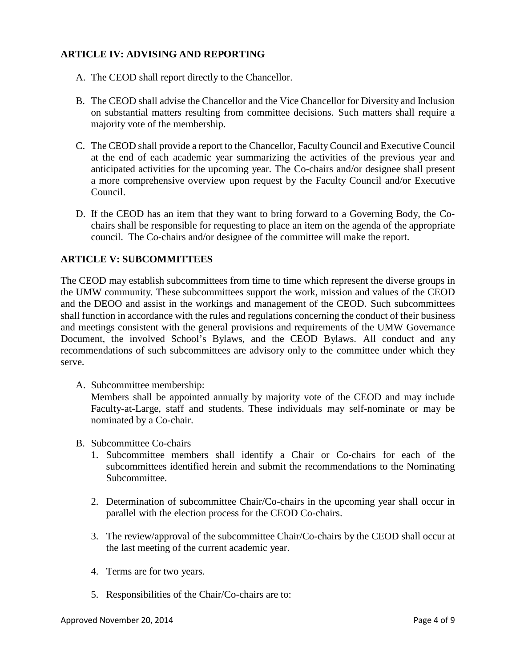# **ARTICLE IV: ADVISING AND REPORTING**

- A. The CEOD shall report directly to the Chancellor.
- B. The CEOD shall advise the Chancellor and the Vice Chancellor for Diversity and Inclusion on substantial matters resulting from committee decisions. Such matters shall require a majority vote of the membership.
- C. The CEOD shall provide a report to the Chancellor, FacultyCouncil and Executive Council at the end of each academic year summarizing the activities of the previous year and anticipated activities for the upcoming year. The Co-chairs and/or designee shall present a more comprehensive overview upon request by the Faculty Council and/or Executive Council.
- D. If the CEOD has an item that they want to bring forward to a Governing Body, the Cochairs shall be responsible for requesting to place an item on the agenda of the appropriate council. The Co-chairs and/or designee of the committee will make the report.

# **ARTICLE V: SUBCOMMITTEES**

The CEOD may establish subcommittees from time to time which represent the diverse groups in the UMW community. These subcommittees support the work, mission and values of the CEOD and the DEOO and assist in the workings and management of the CEOD. Such subcommittees shall function in accordance with the rules and regulations concerning the conduct of their business and meetings consistent with the general provisions and requirements of the UMW Governance Document, the involved School's Bylaws, and the CEOD Bylaws. All conduct and any recommendations of such subcommittees are advisory only to the committee under which they serve.

A. Subcommittee membership:

Members shall be appointed annually by majority vote of the CEOD and may include Faculty-at-Large, staff and students. These individuals may self-nominate or may be nominated by a Co-chair.

- B. Subcommittee Co-chairs
	- 1. Subcommittee members shall identify a Chair or Co-chairs for each of the subcommittees identified herein and submit the recommendations to the Nominating Subcommittee.
	- 2. Determination of subcommittee Chair/Co-chairs in the upcoming year shall occur in parallel with the election process for the CEOD Co-chairs.
	- 3. The review/approval of the subcommittee Chair/Co-chairs by the CEOD shall occur at the last meeting of the current academic year.
	- 4. Terms are for two years.
	- 5. Responsibilities of the Chair/Co-chairs are to: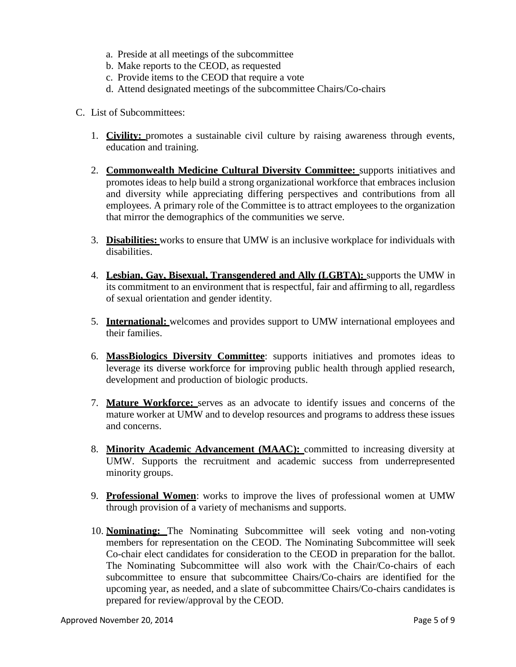- a. Preside at all meetings of the subcommittee
- b. Make reports to the CEOD, as requested
- c. Provide items to the CEOD that require a vote
- d. Attend designated meetings of the subcommittee Chairs/Co-chairs
- C. List of Subcommittees:
	- 1. **Civility:** promotes a sustainable civil culture by raising awareness through events, education and training.
	- 2. **Commonwealth Medicine Cultural Diversity Committee:** supports initiatives and promotes ideas to help build a strong organizational workforce that embraces inclusion and diversity while appreciating differing perspectives and contributions from all employees. A primary role of the Committee is to attract employees to the organization that mirror the demographics of the communities we serve.
	- 3. **Disabilities:** works to ensure that UMW is an inclusive workplace for individuals with disabilities.
	- 4. **Lesbian, Gay, Bisexual, Transgendered and Ally (LGBTA):** supports the UMW in its commitment to an environment that is respectful, fair and affirming to all, regardless of sexual orientation and gender identity.
	- 5. **International:** welcomes and provides support to UMW international employees and their families.
	- 6. **MassBiologics Diversity Committee**: supports initiatives and promotes ideas to leverage its diverse workforce for improving public health through applied research, development and production of biologic products.
	- 7. **Mature Workforce:** serves as an advocate to identify issues and concerns of the mature worker at UMW and to develop resources and programs to address these issues and concerns.
	- 8. **Minority Academic Advancement (MAAC):** committed to increasing diversity at UMW. Supports the recruitment and academic success from underrepresented minority groups.
	- 9. **Professional Women**: works to improve the lives of professional women at UMW through provision of a variety of mechanisms and supports.
	- 10. **Nominating:** The Nominating Subcommittee will seek voting and non-voting members for representation on the CEOD. The Nominating Subcommittee will seek Co-chair elect candidates for consideration to the CEOD in preparation for the ballot. The Nominating Subcommittee will also work with the Chair/Co-chairs of each subcommittee to ensure that subcommittee Chairs/Co-chairs are identified for the upcoming year, as needed, and a slate of subcommittee Chairs/Co-chairs candidates is prepared for review/approval by the CEOD.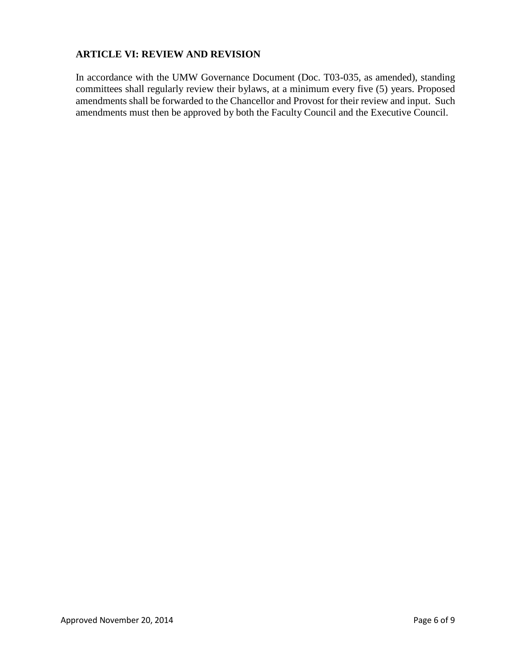# **ARTICLE VI: REVIEW AND REVISION**

In accordance with the UMW Governance Document (Doc. T03-035, as amended), standing committees shall regularly review their bylaws, at a minimum every five (5) years. Proposed amendments shall be forwarded to the Chancellor and Provost for their review and input. Such amendments must then be approved by both the Faculty Council and the Executive Council.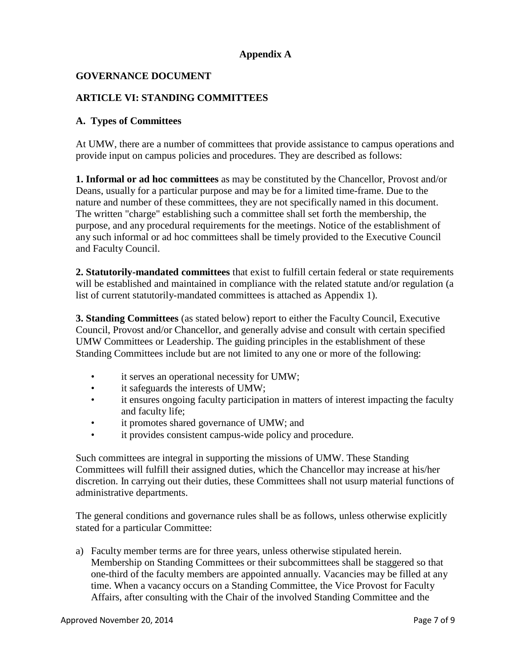# **Appendix A**

# **GOVERNANCE DOCUMENT**

### **ARTICLE VI: STANDING COMMITTEES**

#### **A. Types of Committees**

At UMW, there are a number of committees that provide assistance to campus operations and provide input on campus policies and procedures. They are described as follows:

**1. Informal or ad hoc committees** as may be constituted by the Chancellor, Provost and/or Deans, usually for a particular purpose and may be for a limited time-frame. Due to the nature and number of these committees, they are not specifically named in this document. The written "charge" establishing such a committee shall set forth the membership, the purpose, and any procedural requirements for the meetings. Notice of the establishment of any such informal or ad hoc committees shall be timely provided to the Executive Council and Faculty Council.

**2. Statutorily-mandated committees** that exist to fulfill certain federal or state requirements will be established and maintained in compliance with the related statute and/or regulation (a list of current statutorily-mandated committees is attached as Appendix 1).

**3. Standing Committees** (as stated below) report to either the Faculty Council, Executive Council, Provost and/or Chancellor, and generally advise and consult with certain specified UMW Committees or Leadership. The guiding principles in the establishment of these Standing Committees include but are not limited to any one or more of the following:

- it serves an operational necessity for UMW;
- it safeguards the interests of UMW;
- it ensures ongoing faculty participation in matters of interest impacting the faculty and faculty life;
- it promotes shared governance of UMW; and
- it provides consistent campus-wide policy and procedure.

Such committees are integral in supporting the missions of UMW. These Standing Committees will fulfill their assigned duties, which the Chancellor may increase at his/her discretion. In carrying out their duties, these Committees shall not usurp material functions of administrative departments.

The general conditions and governance rules shall be as follows, unless otherwise explicitly stated for a particular Committee:

a) Faculty member terms are for three years, unless otherwise stipulated herein. Membership on Standing Committees or their subcommittees shall be staggered so that one-third of the faculty members are appointed annually. Vacancies may be filled at any time. When a vacancy occurs on a Standing Committee, the Vice Provost for Faculty Affairs, after consulting with the Chair of the involved Standing Committee and the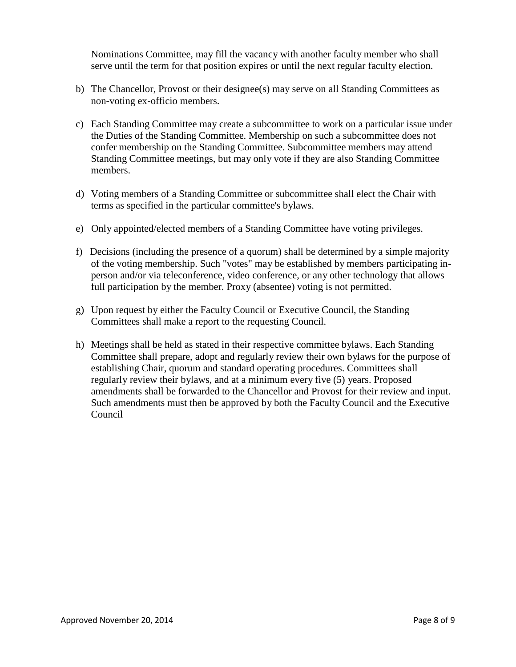Nominations Committee, may fill the vacancy with another faculty member who shall serve until the term for that position expires or until the next regular faculty election.

- b) The Chancellor, Provost or their designee(s) may serve on all Standing Committees as non-voting ex-officio members.
- c) Each Standing Committee may create a subcommittee to work on a particular issue under the Duties of the Standing Committee. Membership on such a subcommittee does not confer membership on the Standing Committee. Subcommittee members may attend Standing Committee meetings, but may only vote if they are also Standing Committee members.
- d) Voting members of a Standing Committee or subcommittee shall elect the Chair with terms as specified in the particular committee's bylaws.
- e) Only appointed/elected members of a Standing Committee have voting privileges.
- f) Decisions (including the presence of a quorum) shall be determined by a simple majority of the voting membership. Such "votes" may be established by members participating inperson and/or via teleconference, video conference, or any other technology that allows full participation by the member. Proxy (absentee) voting is not permitted.
- g) Upon request by either the Faculty Council or Executive Council, the Standing Committees shall make a report to the requesting Council.
- h) Meetings shall be held as stated in their respective committee bylaws. Each Standing Committee shall prepare, adopt and regularly review their own bylaws for the purpose of establishing Chair, quorum and standard operating procedures. Committees shall regularly review their bylaws, and at a minimum every five (5) years. Proposed amendments shall be forwarded to the Chancellor and Provost for their review and input. Such amendments must then be approved by both the Faculty Council and the Executive Council